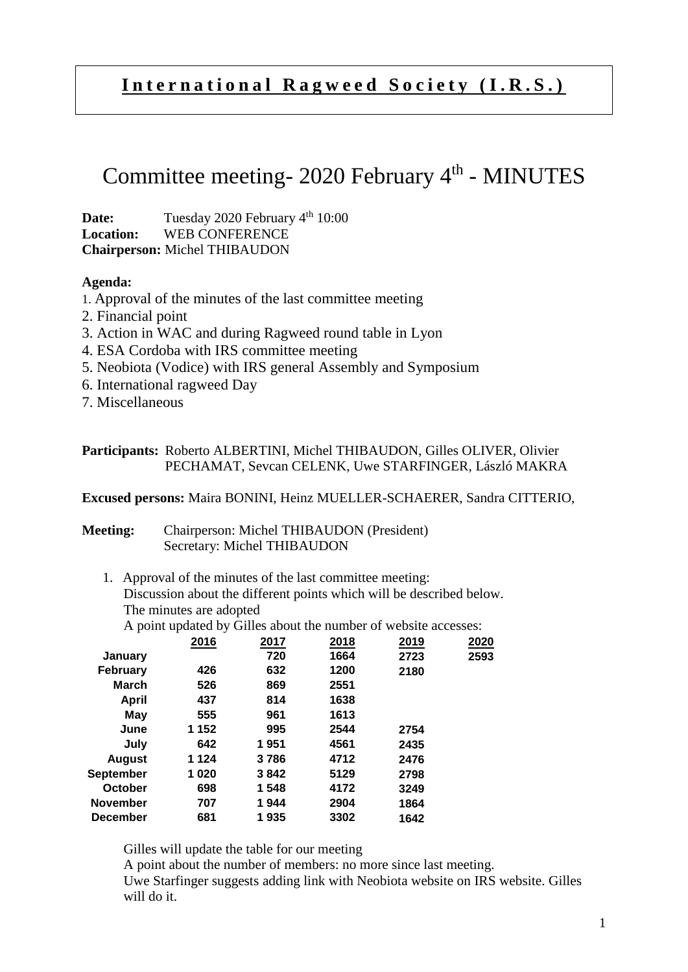## **I n t e r n a t i o n a l R a g w e e d S o c i e t y ( I . R . S . )**

# Committee meeting- 2020 February 4<sup>th</sup> - MINUTES

**Date:** Tuesday 2020 February 4<sup>th</sup> 10:00 **Location:** WEB CONFERENCE **Chairperson:** Michel THIBAUDON

#### **Agenda:**

- 1. Approval of the minutes of the last committee meeting
- 2. Financial point
- 3. Action in WAC and during Ragweed round table in Lyon
- 4. ESA Cordoba with IRS committee meeting
- 5. Neobiota (Vodice) with IRS general Assembly and Symposium
- 6. International ragweed Day
- 7. Miscellaneous

#### **Participants:** Roberto ALBERTINI, Michel THIBAUDON, Gilles OLIVER, Olivier PECHAMAT, Sevcan CELENK, Uwe STARFINGER, László MAKRA

**Excused persons:** Maira BONINI, Heinz MUELLER-SCHAERER, Sandra CITTERIO,

#### **Meeting:** Chairperson: Michel THIBAUDON (President) Secretary: Michel THIBAUDON

1. Approval of the minutes of the last committee meeting: Discussion about the different points which will be described below. The minutes are adopted

A point updated by Gilles about the number of website accesses:

|                 | 2016    | 2017  | 2018 | 2019 | 2020 |
|-----------------|---------|-------|------|------|------|
| January         |         | 720   | 1664 | 2723 | 2593 |
| February        | 426     | 632   | 1200 | 2180 |      |
| <b>March</b>    | 526     | 869   | 2551 |      |      |
| April           | 437     | 814   | 1638 |      |      |
| May             | 555     | 961   | 1613 |      |      |
| June            | 1 152   | 995   | 2544 | 2754 |      |
| July            | 642     | 1951  | 4561 | 2435 |      |
| August          | 1 1 2 4 | 3786  | 4712 | 2476 |      |
| September       | 1020    | 3842  | 5129 | 2798 |      |
| October         | 698     | 1 548 | 4172 | 3249 |      |
| <b>November</b> | 707     | 1944  | 2904 | 1864 |      |
| <b>December</b> | 681     | 1935  | 3302 | 1642 |      |
|                 |         |       |      |      |      |

Gilles will update the table for our meeting

A point about the number of members: no more since last meeting. Uwe Starfinger suggests adding link with Neobiota website on IRS website. Gilles will do it.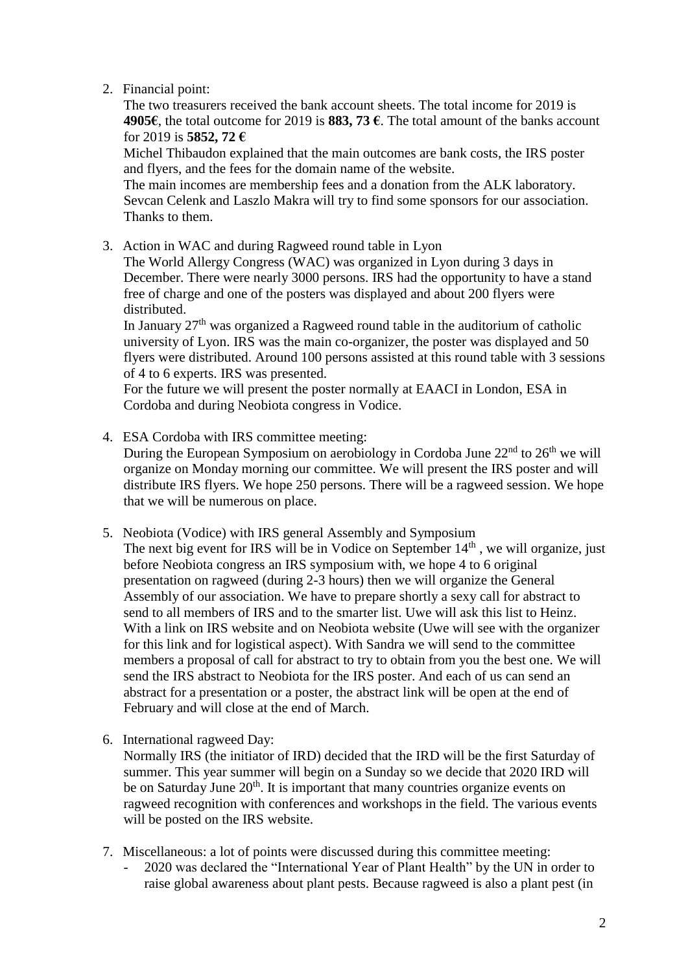### 2. Financial point:

The two treasurers received the bank account sheets. The total income for 2019 is **4905€**, the total outcome for 2019 is **883, 73 €**. The total amount of the banks account for 2019 is **5852, 72 €**

Michel Thibaudon explained that the main outcomes are bank costs, the IRS poster and flyers, and the fees for the domain name of the website.

The main incomes are membership fees and a donation from the ALK laboratory. Sevcan Celenk and Laszlo Makra will try to find some sponsors for our association. Thanks to them.

3. Action in WAC and during Ragweed round table in Lyon

The World Allergy Congress (WAC) was organized in Lyon during 3 days in December. There were nearly 3000 persons. IRS had the opportunity to have a stand free of charge and one of the posters was displayed and about 200 flyers were distributed.

In January  $27<sup>th</sup>$  was organized a Ragweed round table in the auditorium of catholic university of Lyon. IRS was the main co-organizer, the poster was displayed and 50 flyers were distributed. Around 100 persons assisted at this round table with 3 sessions of 4 to 6 experts. IRS was presented.

For the future we will present the poster normally at EAACI in London, ESA in Cordoba and during Neobiota congress in Vodice.

4. ESA Cordoba with IRS committee meeting:

During the European Symposium on aerobiology in Cordoba June  $22<sup>nd</sup>$  to  $26<sup>th</sup>$  we will organize on Monday morning our committee. We will present the IRS poster and will distribute IRS flyers. We hope 250 persons. There will be a ragweed session. We hope that we will be numerous on place.

5. Neobiota (Vodice) with IRS general Assembly and Symposium

The next big event for IRS will be in Vodice on September  $14<sup>th</sup>$ , we will organize, just before Neobiota congress an IRS symposium with, we hope 4 to 6 original presentation on ragweed (during 2-3 hours) then we will organize the General Assembly of our association. We have to prepare shortly a sexy call for abstract to send to all members of IRS and to the smarter list. Uwe will ask this list to Heinz. With a link on IRS website and on Neobiota website (Uwe will see with the organizer for this link and for logistical aspect). With Sandra we will send to the committee members a proposal of call for abstract to try to obtain from you the best one. We will send the IRS abstract to Neobiota for the IRS poster. And each of us can send an abstract for a presentation or a poster, the abstract link will be open at the end of February and will close at the end of March.

6. International ragweed Day:

Normally IRS (the initiator of IRD) decided that the IRD will be the first Saturday of summer. This year summer will begin on a Sunday so we decide that 2020 IRD will be on Saturday June 20<sup>th</sup>. It is important that many countries organize events on ragweed recognition with conferences and workshops in the field. The various events will be posted on the IRS website.

- 7. Miscellaneous: a lot of points were discussed during this committee meeting:
	- 2020 was declared the "International Year of Plant Health" by the UN in order to raise global awareness about plant pests. Because ragweed is also a plant pest (in